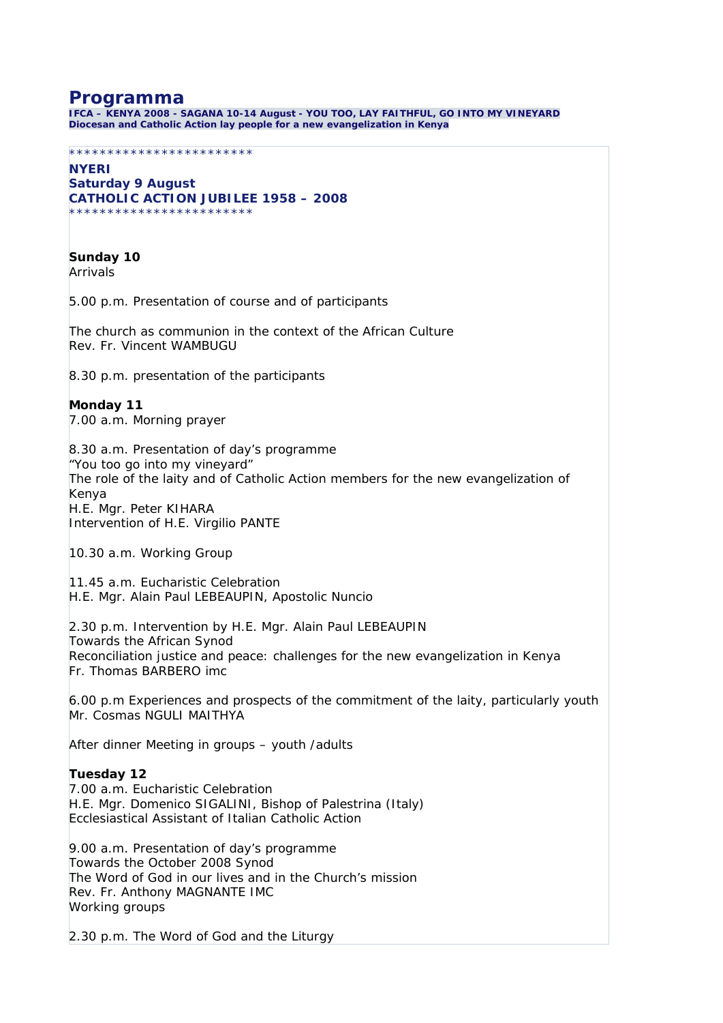## **Programma**

**IFCA – KENYA 2008 - SAGANA 10-14 August - YOU TOO, LAY FAITHFUL, GO INTO MY VINEYARD**  *Diocesan and Catholic Action lay people for a new evangelization in Kenya*

\*\*\*\*\*\*\*\*\*\*\*\*\*\*\*\*\*\*\*\*\*\*\*\*

## **NYERI Saturday 9 August CATHOLIC ACTION JUBILEE 1958 – 2008** \*\*\*\*\*\*\*\*\*\*\*\*\*\*\*\*\*\*\*\*\*\*\*\*

**Sunday 10** Arrivals

5.00 p.m. Presentation of course and of participants

The church as communion in the context of the African Culture Rev. Fr. Vincent WAMBUGU

8.30 p.m. presentation of the participants

## **Monday 11**

7.00 a.m. Morning prayer

8.30 a.m. Presentation of day's programme "You too go into my vineyard" The role of the laity and of Catholic Action members for the new evangelization of Kenya H.E. Mgr. Peter KIHARA Intervention of H.E. Virgilio PANTE

10.30 a.m. Working Group

11.45 a.m. Eucharistic Celebration H.E. Mgr. Alain Paul LEBEAUPIN, Apostolic Nuncio

2.30 p.m. Intervention by H.E. Mgr. Alain Paul LEBEAUPIN Towards the African Synod Reconciliation justice and peace: challenges for the new evangelization in Kenya Fr. Thomas BARBERO imc

6.00 p.m Experiences and prospects of the commitment of the laity, particularly youth Mr. Cosmas NGULI MAITHYA

After dinner Meeting in groups – youth /adults

## **Tuesday 12**

7.00 a.m. Eucharistic Celebration H.E. Mgr. Domenico SIGALINI, Bishop of Palestrina (Italy) Ecclesiastical Assistant of Italian Catholic Action

9.00 a.m. Presentation of day's programme Towards the October 2008 Synod The Word of God in our lives and in the Church's mission Rev. Fr. Anthony MAGNANTE IMC Working groups

2.30 p.m. The Word of God and the Liturgy